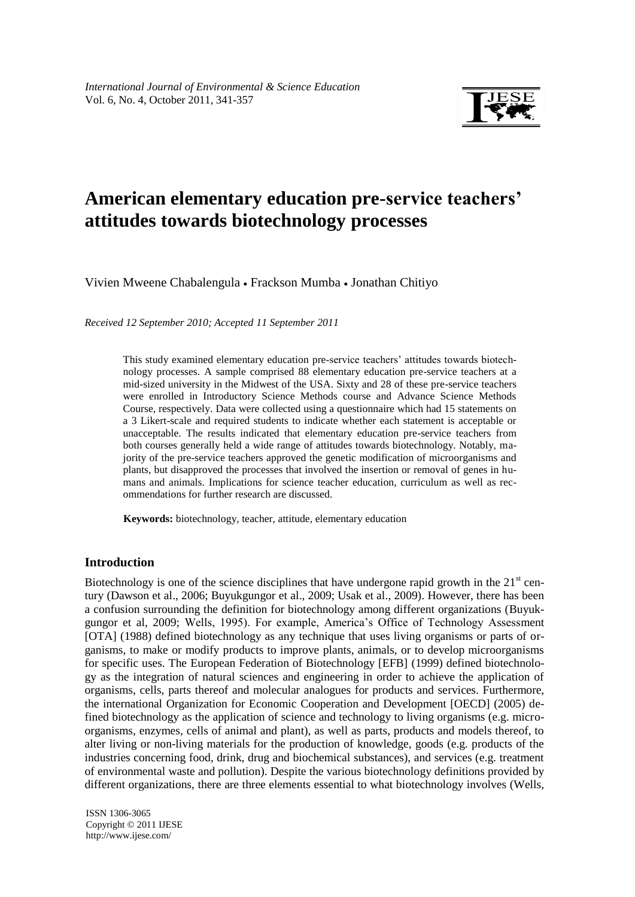

# **American elementary education pre-service teachers' attitudes towards biotechnology processes**

Vivien Mweene Chabalengula Frackson Mumba Jonathan Chitiyo

*Received 12 September 2010; Accepted 11 September 2011*

This study examined elementary education pre-service teachers' attitudes towards biotechnology processes. A sample comprised 88 elementary education pre-service teachers at a mid-sized university in the Midwest of the USA. Sixty and 28 of these pre-service teachers were enrolled in Introductory Science Methods course and Advance Science Methods Course, respectively. Data were collected using a questionnaire which had 15 statements on a 3 Likert-scale and required students to indicate whether each statement is acceptable or unacceptable. The results indicated that elementary education pre-service teachers from both courses generally held a wide range of attitudes towards biotechnology. Notably, majority of the pre-service teachers approved the genetic modification of microorganisms and plants, but disapproved the processes that involved the insertion or removal of genes in humans and animals. Implications for science teacher education, curriculum as well as recommendations for further research are discussed.

**Keywords:** biotechnology, teacher, attitude, elementary education

# **Introduction**

Biotechnology is one of the science disciplines that have undergone rapid growth in the  $21<sup>st</sup>$  century (Dawson et al., 2006; Buyukgungor et al., 2009; Usak et al., 2009). However, there has been a confusion surrounding the definition for biotechnology among different organizations (Buyukgungor et al, 2009; Wells, 1995). For example, America"s Office of Technology Assessment [OTA] (1988) defined biotechnology as any technique that uses living organisms or parts of organisms, to make or modify products to improve plants, animals, or to develop microorganisms for specific uses. The European Federation of Biotechnology [EFB] (1999) defined biotechnology as the integration of natural sciences and engineering in order to achieve the application of organisms, cells, parts thereof and molecular analogues for products and services. Furthermore, the international Organization for Economic Cooperation and Development [OECD] (2005) defined biotechnology as the application of science and technology to living organisms (e.g. microorganisms, enzymes, cells of animal and plant), as well as parts, products and models thereof, to alter living or non-living materials for the production of knowledge, goods (e.g. products of the industries concerning food, drink, drug and biochemical substances), and services (e.g. treatment of environmental waste and pollution). Despite the various biotechnology definitions provided by different organizations, there are three elements essential to what biotechnology involves (Wells,

ISSN 1306-3065 Copyright © 2011 IJESE <http://www.ijese.com/>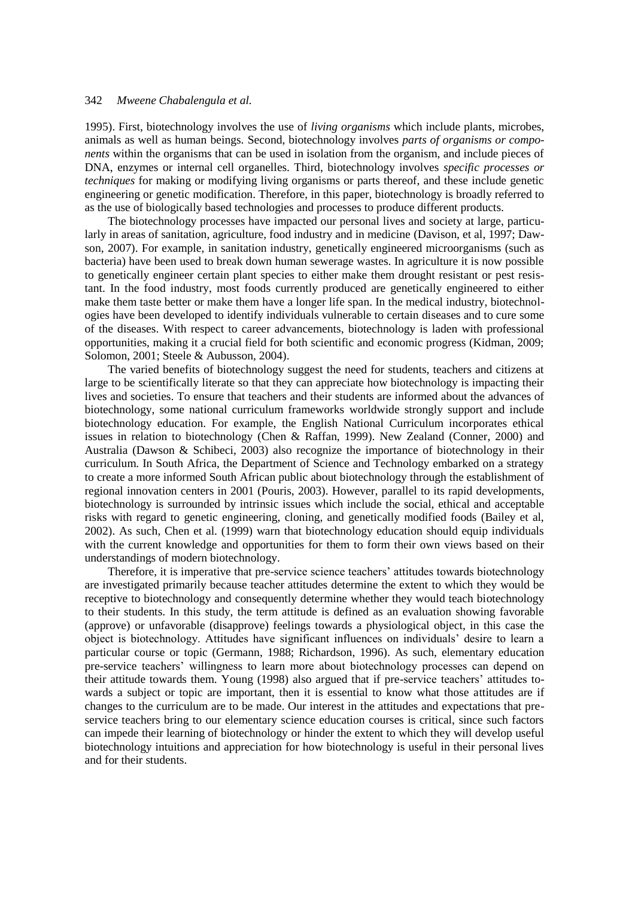1995). First, biotechnology involves the use of *living organisms* which include plants, microbes, animals as well as human beings. Second, biotechnology involves *parts of organisms or components* within the organisms that can be used in isolation from the organism, and include pieces of DNA, enzymes or internal cell organelles. Third, biotechnology involves *specific processes or techniques* for making or modifying living organisms or parts thereof, and these include genetic engineering or genetic modification. Therefore, in this paper, biotechnology is broadly referred to as the use of biologically based technologies and processes to produce different products.

The biotechnology processes have impacted our personal lives and society at large, particularly in areas of sanitation, agriculture, food industry and in medicine (Davison, et al, 1997; Dawson, 2007). For example, in sanitation industry, genetically engineered microorganisms (such as bacteria) have been used to break down human sewerage wastes. In agriculture it is now possible to genetically engineer certain plant species to either make them drought resistant or pest resistant. In the food industry, most foods currently produced are genetically engineered to either make them taste better or make them have a longer life span. In the medical industry, biotechnologies have been developed to identify individuals vulnerable to certain diseases and to cure some of the diseases. With respect to career advancements, biotechnology is laden with professional opportunities, making it a crucial field for both scientific and economic progress (Kidman, 2009; Solomon, 2001; Steele & Aubusson, 2004).

The varied benefits of biotechnology suggest the need for students, teachers and citizens at large to be scientifically literate so that they can appreciate how biotechnology is impacting their lives and societies. To ensure that teachers and their students are informed about the advances of biotechnology, some national curriculum frameworks worldwide strongly support and include biotechnology education. For example, the English National Curriculum incorporates ethical issues in relation to biotechnology (Chen & Raffan, 1999). New Zealand (Conner, 2000) and Australia (Dawson & Schibeci, 2003) also recognize the importance of biotechnology in their curriculum. In South Africa, the Department of Science and Technology embarked on a strategy to create a more informed South African public about biotechnology through the establishment of regional innovation centers in 2001 (Pouris, 2003). However, parallel to its rapid developments, biotechnology is surrounded by intrinsic issues which include the social, ethical and acceptable risks with regard to genetic engineering, cloning, and genetically modified foods (Bailey et al, 2002). As such, Chen et al. (1999) warn that biotechnology education should equip individuals with the current knowledge and opportunities for them to form their own views based on their understandings of modern biotechnology.

Therefore, it is imperative that pre-service science teachers' attitudes towards biotechnology are investigated primarily because teacher attitudes determine the extent to which they would be receptive to biotechnology and consequently determine whether they would teach biotechnology to their students. In this study, the term attitude is defined as an evaluation showing favorable (approve) or unfavorable (disapprove) feelings towards a physiological object, in this case the object is biotechnology. Attitudes have significant influences on individuals" desire to learn a particular course or topic (Germann, 1988; Richardson, 1996). As such, elementary education pre-service teachers" willingness to learn more about biotechnology processes can depend on their attitude towards them. Young (1998) also argued that if pre-service teachers" attitudes towards a subject or topic are important, then it is essential to know what those attitudes are if changes to the curriculum are to be made. Our interest in the attitudes and expectations that preservice teachers bring to our elementary science education courses is critical, since such factors can impede their learning of biotechnology or hinder the extent to which they will develop useful biotechnology intuitions and appreciation for how biotechnology is useful in their personal lives and for their students.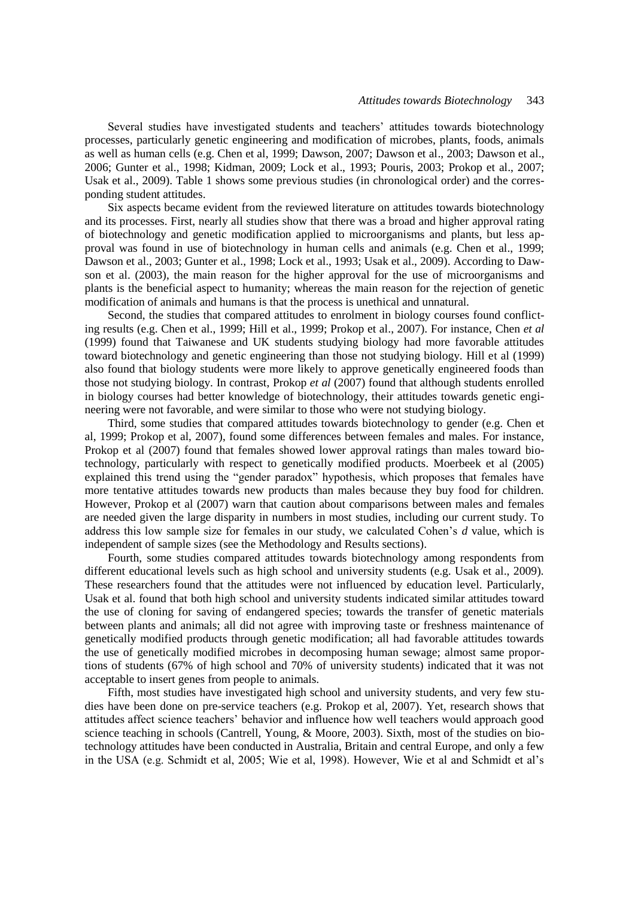Several studies have investigated students and teachers" attitudes towards biotechnology processes, particularly genetic engineering and modification of microbes, plants, foods, animals as well as human cells (e.g. Chen et al, 1999; Dawson, 2007; Dawson et al., 2003; Dawson et al., 2006; Gunter et al., 1998; Kidman, 2009; Lock et al., 1993; Pouris, 2003; Prokop et al., 2007; Usak et al., 2009). Table 1 shows some previous studies (in chronological order) and the corresponding student attitudes.

Six aspects became evident from the reviewed literature on attitudes towards biotechnology and its processes. First, nearly all studies show that there was a broad and higher approval rating of biotechnology and genetic modification applied to microorganisms and plants, but less approval was found in use of biotechnology in human cells and animals (e.g. Chen et al., 1999; Dawson et al., 2003; Gunter et al., 1998; Lock et al., 1993; Usak et al., 2009). According to Dawson et al. (2003), the main reason for the higher approval for the use of microorganisms and plants is the beneficial aspect to humanity; whereas the main reason for the rejection of genetic modification of animals and humans is that the process is unethical and unnatural.

Second, the studies that compared attitudes to enrolment in biology courses found conflicting results (e.g. Chen et al., 1999; Hill et al., 1999; Prokop et al., 2007). For instance, Chen *et al*  (1999) found that Taiwanese and UK students studying biology had more favorable attitudes toward biotechnology and genetic engineering than those not studying biology. Hill et al (1999) also found that biology students were more likely to approve genetically engineered foods than those not studying biology. In contrast, Prokop *et al* (2007) found that although students enrolled in biology courses had better knowledge of biotechnology, their attitudes towards genetic engineering were not favorable, and were similar to those who were not studying biology.

Third, some studies that compared attitudes towards biotechnology to gender (e.g. Chen et al, 1999; Prokop et al, 2007), found some differences between females and males. For instance, Prokop et al (2007) found that females showed lower approval ratings than males toward biotechnology, particularly with respect to genetically modified products. Moerbeek et al (2005) explained this trend using the "gender paradox" hypothesis, which proposes that females have more tentative attitudes towards new products than males because they buy food for children. However, Prokop et al (2007) warn that caution about comparisons between males and females are needed given the large disparity in numbers in most studies, including our current study. To address this low sample size for females in our study, we calculated Cohen"s *d* value, which is independent of sample sizes (see the Methodology and Results sections).

Fourth, some studies compared attitudes towards biotechnology among respondents from different educational levels such as high school and university students (e.g. Usak et al., 2009). These researchers found that the attitudes were not influenced by education level. Particularly, Usak et al. found that both high school and university students indicated similar attitudes toward the use of cloning for saving of endangered species; towards the transfer of genetic materials between plants and animals; all did not agree with improving taste or freshness maintenance of genetically modified products through genetic modification; all had favorable attitudes towards the use of genetically modified microbes in decomposing human sewage; almost same proportions of students (67% of high school and 70% of university students) indicated that it was not acceptable to insert genes from people to animals.

Fifth, most studies have investigated high school and university students, and very few studies have been done on pre-service teachers (e.g. Prokop et al, 2007). Yet, research shows that attitudes affect science teachers" behavior and influence how well teachers would approach good science teaching in schools (Cantrell, Young, & Moore, 2003). Sixth, most of the studies on biotechnology attitudes have been conducted in Australia, Britain and central Europe, and only a few in the USA (e.g. Schmidt et al, 2005; Wie et al, 1998). However, Wie et al and Schmidt et al"s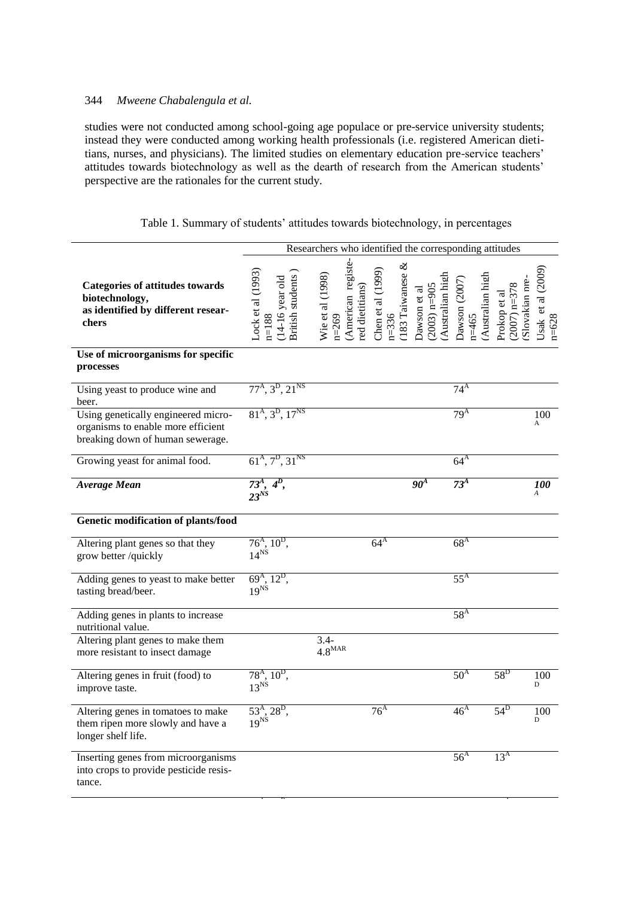studies were not conducted among school-going age populace or pre-service university students; instead they were conducted among working health professionals (i.e. registered American dietitians, nurses, and physicians). The limited studies on elementary education pre-service teachers" attitudes towards biotechnology as well as the dearth of research from the American students" perspective are the rationales for the current study.

# Table 1. Summary of students' attitudes towards biotechnology, in percentages

|                                                                                                               | Researchers who identified the corresponding attitudes                    |                                                                        |                                                      |                                                   |                                             |                                                  |                               |
|---------------------------------------------------------------------------------------------------------------|---------------------------------------------------------------------------|------------------------------------------------------------------------|------------------------------------------------------|---------------------------------------------------|---------------------------------------------|--------------------------------------------------|-------------------------------|
| <b>Categories of attitudes towards</b><br>biotechnology,<br>as identified by different resear-<br>chers       | Lock et al $(1993)$<br>British students<br>$(14-16$ year old<br>$n = 188$ | (American registe-<br>Wie et al (1998)<br>red dietitians)<br>$n = 269$ | 183 Taiwanese $\&$<br>Chen et al (1999)<br>$n = 336$ | Australian high<br>$(2003)$ n=905<br>Dawson et al | Australian high<br>Dawson (2007)<br>$n=465$ | Slovakian pre-<br>$(2007)$ n=378<br>Prokop et al | Usak et al (2009<br>$n = 628$ |
| Use of microorganisms for specific<br>processes                                                               |                                                                           |                                                                        |                                                      |                                                   |                                             |                                                  |                               |
| Using yeast to produce wine and<br>beer.                                                                      | $77^{\rm A}$ , $3^{\rm D}$ , $21^{\rm NS}$                                |                                                                        |                                                      |                                                   | $74^{\rm A}$                                |                                                  |                               |
| Using genetically engineered micro-<br>organisms to enable more efficient<br>breaking down of human sewerage. | $81A, 3D, 17NS$                                                           |                                                                        |                                                      |                                                   | 79 <sup>A</sup>                             |                                                  | 100<br>A                      |
| Growing yeast for animal food.                                                                                | $61A, 7D, 31NS$                                                           |                                                                        |                                                      |                                                   | 64 <sup>A</sup>                             |                                                  |                               |
| <b>Average Mean</b>                                                                                           | $4^D$ ,<br>$\frac{73^4}{23^{NS}}$                                         |                                                                        |                                                      | 90 <sup>4</sup>                                   | 73 <sup>A</sup>                             |                                                  | $100\,$                       |
| Genetic modification of plants/food                                                                           |                                                                           |                                                                        |                                                      |                                                   |                                             |                                                  |                               |
| Altering plant genes so that they<br>grow better /quickly                                                     | $\frac{76^{\text{A}}, 10^{\text{D}}}{14^{\text{NS}}}$                     |                                                                        | $64^{\rm A}$                                         |                                                   | 68 <sup>A</sup>                             |                                                  |                               |
| Adding genes to yeast to make better<br>tasting bread/beer.                                                   | $69^{\rm A}$ , $12^{\rm D}$ ,<br>$19^{N_S}$                               |                                                                        |                                                      |                                                   | $55^{\text{A}}$                             |                                                  |                               |
| Adding genes in plants to increase<br>nutritional value.                                                      |                                                                           |                                                                        |                                                      |                                                   | $58^{\rm A}$                                |                                                  |                               |
| Altering plant genes to make them<br>more resistant to insect damage                                          |                                                                           | $3.4-$<br>$4.8^{\text{MAR}}$                                           |                                                      |                                                   |                                             |                                                  |                               |
| Altering genes in fruit (food) to<br>improve taste.                                                           | $\frac{78^{\text{A}}}{13^{\text{NS}}}$ 10 <sup>D</sup> ,                  |                                                                        |                                                      |                                                   | 50 <sup>A</sup>                             | $58^{\rm D}$                                     | 100<br>D                      |
| Altering genes in tomatoes to make<br>them ripen more slowly and have a<br>longer shelf life.                 | $53^{\rm A}, 28^{\rm D},$<br>$19^{NS}$                                    |                                                                        | 76 <sup>A</sup>                                      |                                                   | 46 <sup>A</sup>                             | $54^{\rm D}$                                     | 100<br>D                      |
| Inserting genes from microorganisms<br>into crops to provide pesticide resis-<br>tance.                       |                                                                           |                                                                        |                                                      |                                                   | 56 <sup>A</sup>                             | 13 <sup>A</sup>                                  |                               |

 $\overline{a}$  $\overline{\phantom{a}}$  21<sup>A</sup>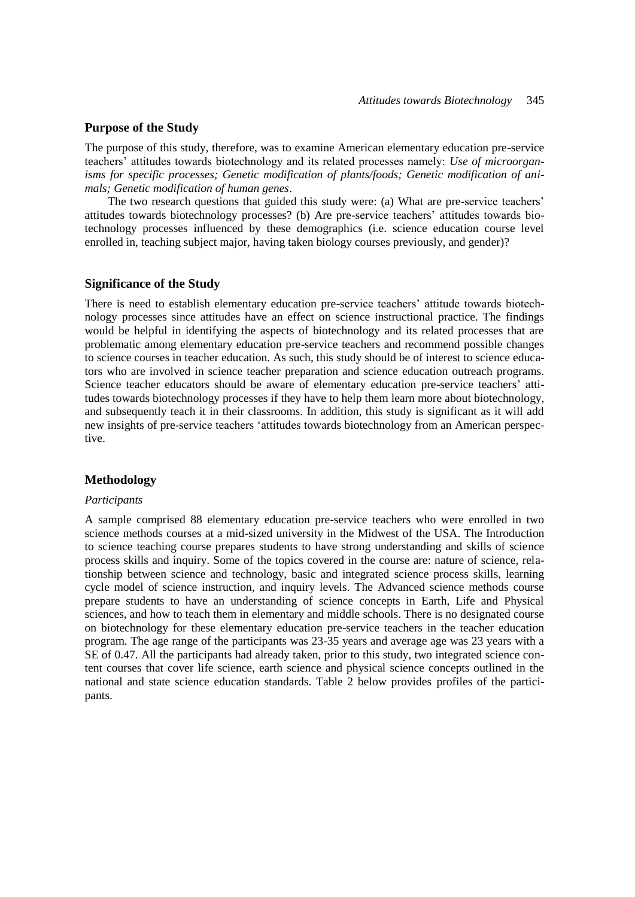### **Purpose of the Study**

The purpose of this study, therefore, was to examine American elementary education pre-service teachers" attitudes towards biotechnology and its related processes namely: *Use of microorganisms for specific processes; Genetic modification of plants/foods; Genetic modification of animals; Genetic modification of human genes*.

The two research questions that guided this study were: (a) What are pre-service teachers' attitudes towards biotechnology processes? (b) Are pre-service teachers" attitudes towards biotechnology processes influenced by these demographics (i.e. science education course level enrolled in, teaching subject major, having taken biology courses previously, and gender)?

### **Significance of the Study**

There is need to establish elementary education pre-service teachers" attitude towards biotechnology processes since attitudes have an effect on science instructional practice. The findings would be helpful in identifying the aspects of biotechnology and its related processes that are problematic among elementary education pre-service teachers and recommend possible changes to science courses in teacher education. As such, this study should be of interest to science educators who are involved in science teacher preparation and science education outreach programs. Science teacher educators should be aware of elementary education pre-service teachers' attitudes towards biotechnology processes if they have to help them learn more about biotechnology, and subsequently teach it in their classrooms. In addition, this study is significant as it will add new insights of pre-service teachers "attitudes towards biotechnology from an American perspective.

### **Methodology**

### *Participants*

A sample comprised 88 elementary education pre-service teachers who were enrolled in two science methods courses at a mid-sized university in the Midwest of the USA. The Introduction to science teaching course prepares students to have strong understanding and skills of science process skills and inquiry. Some of the topics covered in the course are: nature of science, relationship between science and technology, basic and integrated science process skills, learning cycle model of science instruction, and inquiry levels. The Advanced science methods course prepare students to have an understanding of science concepts in Earth, Life and Physical sciences, and how to teach them in elementary and middle schools. There is no designated course on biotechnology for these elementary education pre-service teachers in the teacher education program. The age range of the participants was 23-35 years and average age was 23 years with a SE of 0.47. All the participants had already taken, prior to this study, two integrated science content courses that cover life science, earth science and physical science concepts outlined in the national and state science education standards. Table 2 below provides profiles of the participants.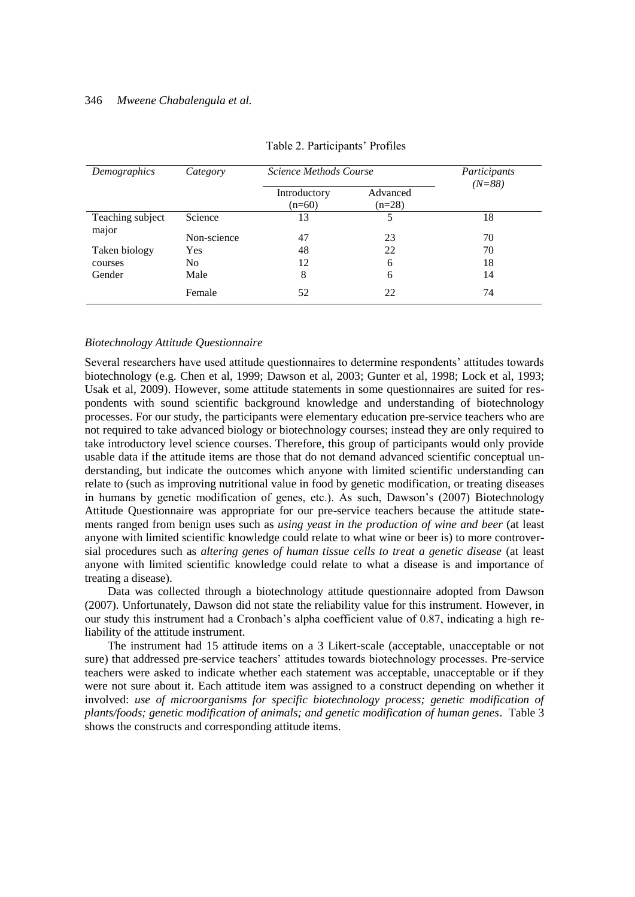| Demographics              | Category    | Science Methods Course   | Participants<br>$(N=88)$ |    |
|---------------------------|-------------|--------------------------|--------------------------|----|
|                           |             | Introductory<br>$(n=60)$ | Advanced<br>$(n=28)$     |    |
| Teaching subject<br>major | Science     | 13                       | 5                        | 18 |
|                           | Non-science | 47                       | 23                       | 70 |
| Taken biology             | Yes         | 48                       | 22                       | 70 |
| courses                   | No.         | 12                       | 6                        | 18 |
| Gender                    | Male        | 8                        | 6                        | 14 |
|                           | Female      | 52                       | 22                       | 74 |

| Table 2. Participants' Profiles |  |  |
|---------------------------------|--|--|
|---------------------------------|--|--|

### *Biotechnology Attitude Questionnaire*

Several researchers have used attitude questionnaires to determine respondents' attitudes towards biotechnology (e.g. Chen et al, 1999; Dawson et al, 2003; Gunter et al, 1998; Lock et al, 1993; Usak et al, 2009). However, some attitude statements in some questionnaires are suited for respondents with sound scientific background knowledge and understanding of biotechnology processes. For our study, the participants were elementary education pre-service teachers who are not required to take advanced biology or biotechnology courses; instead they are only required to take introductory level science courses. Therefore, this group of participants would only provide usable data if the attitude items are those that do not demand advanced scientific conceptual understanding, but indicate the outcomes which anyone with limited scientific understanding can relate to (such as improving nutritional value in food by genetic modification, or treating diseases in humans by genetic modification of genes, etc.). As such, Dawson"s (2007) Biotechnology Attitude Questionnaire was appropriate for our pre-service teachers because the attitude statements ranged from benign uses such as *using yeast in the production of wine and beer* (at least anyone with limited scientific knowledge could relate to what wine or beer is) to more controversial procedures such as *altering genes of human tissue cells to treat a genetic disease* (at least anyone with limited scientific knowledge could relate to what a disease is and importance of treating a disease).

Data was collected through a biotechnology attitude questionnaire adopted from Dawson (2007). Unfortunately, Dawson did not state the reliability value for this instrument. However, in our study this instrument had a Cronbach"s alpha coefficient value of 0.87, indicating a high reliability of the attitude instrument.

The instrument had 15 attitude items on a 3 Likert-scale (acceptable, unacceptable or not sure) that addressed pre-service teachers' attitudes towards biotechnology processes. Pre-service teachers were asked to indicate whether each statement was acceptable, unacceptable or if they were not sure about it. Each attitude item was assigned to a construct depending on whether it involved: *use of microorganisms for specific biotechnology process; genetic modification of plants/foods; genetic modification of animals; and genetic modification of human genes*. Table 3 shows the constructs and corresponding attitude items.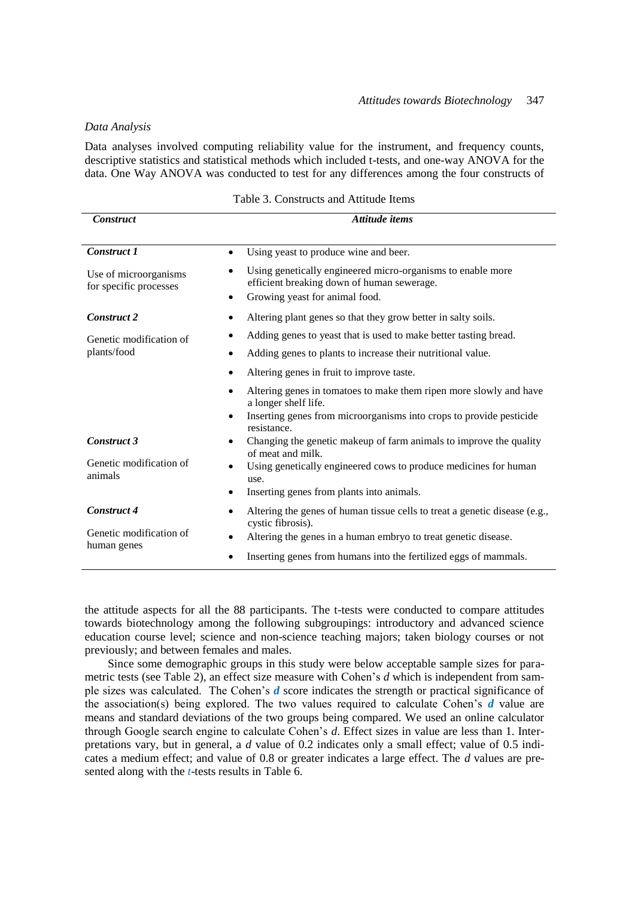### *Data Analysis*

Data analyses involved computing reliability value for the instrument, and frequency counts, descriptive statistics and statistical methods which included t-tests, and one-way ANOVA for the data. One Way ANOVA was conducted to test for any differences among the four constructs of

| <b>Construct</b>                                | Attitude items                                                                                                                              |  |  |  |  |
|-------------------------------------------------|---------------------------------------------------------------------------------------------------------------------------------------------|--|--|--|--|
| <b>Construct 1</b>                              | Using yeast to produce wine and beer.<br>$\bullet$                                                                                          |  |  |  |  |
| Use of microorganisms<br>for specific processes | Using genetically engineered micro-organisms to enable more<br>efficient breaking down of human sewerage.<br>Growing yeast for animal food. |  |  |  |  |
| <b>Construct 2</b>                              | Altering plant genes so that they grow better in salty soils.                                                                               |  |  |  |  |
| Genetic modification of                         | Adding genes to yeast that is used to make better tasting bread.                                                                            |  |  |  |  |
| plants/food                                     | Adding genes to plants to increase their nutritional value.                                                                                 |  |  |  |  |
|                                                 | Altering genes in fruit to improve taste.                                                                                                   |  |  |  |  |
|                                                 | Altering genes in tomatoes to make them ripen more slowly and have<br>a longer shelf life.                                                  |  |  |  |  |
|                                                 | Inserting genes from microorganisms into crops to provide pesticide<br>٠<br>resistance.                                                     |  |  |  |  |
| <b>Construct 3</b>                              | Changing the genetic makeup of farm animals to improve the quality<br>of meat and milk.                                                     |  |  |  |  |
| Genetic modification of<br>animals              | Using genetically engineered cows to produce medicines for human<br>use.                                                                    |  |  |  |  |
|                                                 | Inserting genes from plants into animals.                                                                                                   |  |  |  |  |
| Construct 4                                     | Altering the genes of human tissue cells to treat a genetic disease (e.g.,<br>cystic fibrosis).                                             |  |  |  |  |
| Genetic modification of<br>human genes          | Altering the genes in a human embryo to treat genetic disease.<br>$\bullet$                                                                 |  |  |  |  |
|                                                 | Inserting genes from humans into the fertilized eggs of mammals.                                                                            |  |  |  |  |

Table 3. Constructs and Attitude Items

the attitude aspects for all the 88 participants. The t-tests were conducted to compare attitudes towards biotechnology among the following subgroupings: introductory and advanced science education course level; science and non-science teaching majors; taken biology courses or not previously; and between females and males.

Since some demographic groups in this study were below acceptable sample sizes for parametric tests (see Table 2), an effect size measure with Cohen"s *d* which is independent from sample sizes was calculated. The Cohen"s *d* score indicates the strength or practical significance of the association(s) being explored. The two values required to calculate Cohen's  $d$  value are means and standard deviations of the two groups being compared. We used an online calculator through Google search engine to calculate Cohen"s *d*. Effect sizes in value are less than 1. Interpretations vary, but in general, a *d* value of 0.2 indicates only a small effect; value of 0.5 indicates a medium effect; and value of 0.8 or greater indicates a large effect. The *d* values are presented along with the *t*-tests results in Table 6.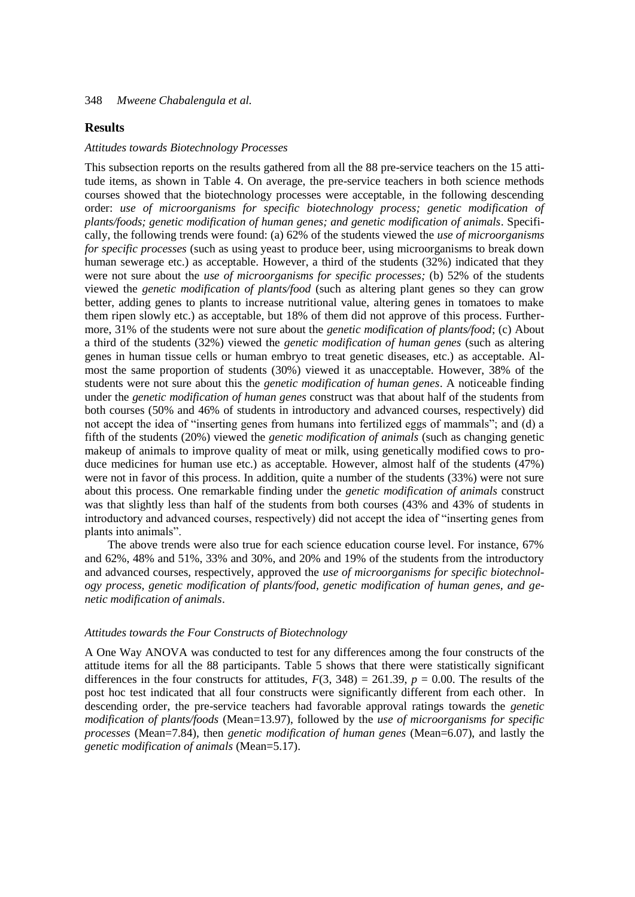### **Results**

#### *Attitudes towards Biotechnology Processes*

This subsection reports on the results gathered from all the 88 pre-service teachers on the 15 attitude items, as shown in Table 4. On average, the pre-service teachers in both science methods courses showed that the biotechnology processes were acceptable, in the following descending order: *use of microorganisms for specific biotechnology process; genetic modification of plants/foods; genetic modification of human genes; and genetic modification of animals*. Specifically, the following trends were found: (a) 62% of the students viewed the *use of microorganisms for specific processes* (such as using yeast to produce beer, using microorganisms to break down human sewerage etc.) as acceptable. However, a third of the students (32%) indicated that they were not sure about the *use of microorganisms for specific processes;* (b) 52% of the students viewed the *genetic modification of plants/food* (such as altering plant genes so they can grow better, adding genes to plants to increase nutritional value, altering genes in tomatoes to make them ripen slowly etc.) as acceptable, but 18% of them did not approve of this process. Furthermore, 31% of the students were not sure about the *genetic modification of plants/food*; (c) About a third of the students (32%) viewed the *genetic modification of human genes* (such as altering genes in human tissue cells or human embryo to treat genetic diseases, etc.) as acceptable. Almost the same proportion of students (30%) viewed it as unacceptable. However, 38% of the students were not sure about this the *genetic modification of human genes*. A noticeable finding under the *genetic modification of human genes* construct was that about half of the students from both courses (50% and 46% of students in introductory and advanced courses, respectively) did not accept the idea of "inserting genes from humans into fertilized eggs of mammals"; and (d) a fifth of the students (20%) viewed the *genetic modification of animals* (such as changing genetic makeup of animals to improve quality of meat or milk, using genetically modified cows to produce medicines for human use etc.) as acceptable*.* However, almost half of the students (47%) were not in favor of this process. In addition, quite a number of the students (33%) were not sure about this process. One remarkable finding under the *genetic modification of animals* construct was that slightly less than half of the students from both courses (43% and 43% of students in introductory and advanced courses, respectively) did not accept the idea of "inserting genes from plants into animals".

The above trends were also true for each science education course level. For instance, 67% and 62%, 48% and 51%, 33% and 30%, and 20% and 19% of the students from the introductory and advanced courses, respectively, approved the *use of microorganisms for specific biotechnology process, genetic modification of plants/food, genetic modification of human genes, and genetic modification of animals*.

### *Attitudes towards the Four Constructs of Biotechnology*

A One Way ANOVA was conducted to test for any differences among the four constructs of the attitude items for all the 88 participants. Table 5 shows that there were statistically significant differences in the four constructs for attitudes,  $F(3, 348) = 261.39$ ,  $p = 0.00$ . The results of the post hoc test indicated that all four constructs were significantly different from each other. In descending order, the pre-service teachers had favorable approval ratings towards the *genetic modification of plants/foods* (Mean=13.97), followed by the *use of microorganisms for specific processes* (Mean=7.84), then *genetic modification of human genes* (Mean=6.07), and lastly the *genetic modification of animals* (Mean=5.17).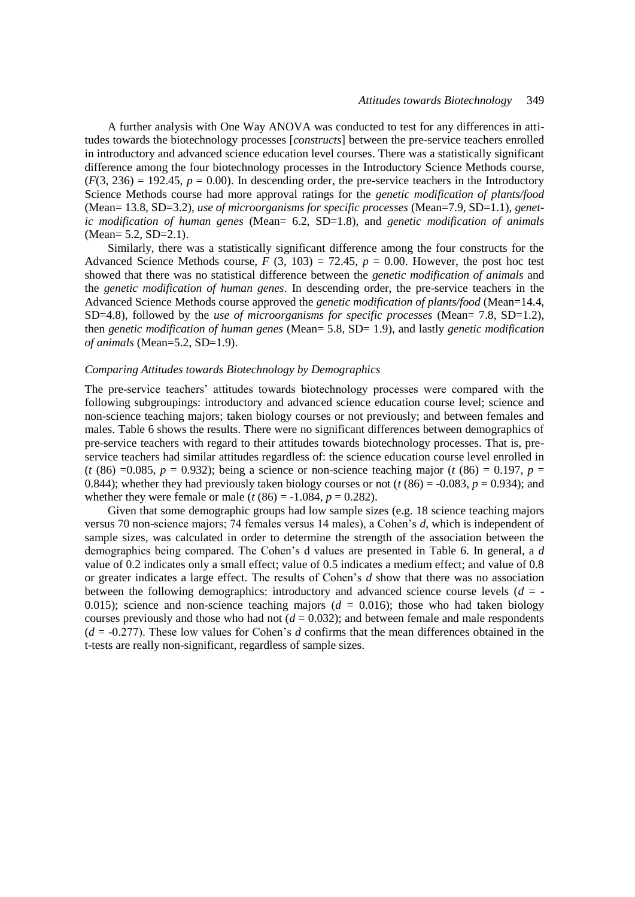A further analysis with One Way ANOVA was conducted to test for any differences in attitudes towards the biotechnology processes [*constructs*] between the pre-service teachers enrolled in introductory and advanced science education level courses. There was a statistically significant difference among the four biotechnology processes in the Introductory Science Methods course,  $(F(3, 236) = 192.45, p = 0.00)$ . In descending order, the pre-service teachers in the Introductory Science Methods course had more approval ratings for the *genetic modification of plants/food* (Mean= 13.8, SD=3.2), *use of microorganisms for specific processes* (Mean=7.9, SD=1.1), *genetic modification of human genes* (Mean= 6.2, SD=1.8), and *genetic modification of animals*  (Mean= 5.2, SD=2.1).

Similarly, there was a statistically significant difference among the four constructs for the Advanced Science Methods course,  $F(3, 103) = 72.45$ ,  $p = 0.00$ . However, the post hoc test showed that there was no statistical difference between the *genetic modification of animals* and the *genetic modification of human genes*. In descending order, the pre-service teachers in the Advanced Science Methods course approved the *genetic modification of plants/food* (Mean=14.4, SD=4.8), followed by the *use of microorganisms for specific processes* (Mean= 7.8, SD=1.2), then *genetic modification of human genes* (Mean= 5.8, SD= 1.9), and lastly *genetic modification of animals* (Mean=5.2, SD=1.9).

### *Comparing Attitudes towards Biotechnology by Demographics*

The pre-service teachers' attitudes towards biotechnology processes were compared with the following subgroupings: introductory and advanced science education course level; science and non-science teaching majors; taken biology courses or not previously; and between females and males. Table 6 shows the results. There were no significant differences between demographics of pre-service teachers with regard to their attitudes towards biotechnology processes. That is, preservice teachers had similar attitudes regardless of: the science education course level enrolled in  $(t (86) = 0.085, p = 0.932)$ ; being a science or non-science teaching major  $(t (86) = 0.197, p = 0.932)$ 0.844); whether they had previously taken biology courses or not  $(t (86) = -0.083, p = 0.934)$ ; and whether they were female or male ( $t (86) = -1.084$ ,  $p = 0.282$ ).

Given that some demographic groups had low sample sizes (e.g. 18 science teaching majors versus 70 non-science majors; 74 females versus 14 males), a Cohen"s *d*, which is independent of sample sizes, was calculated in order to determine the strength of the association between the demographics being compared. The Cohen"s d values are presented in Table 6. In general, a *d* value of 0.2 indicates only a small effect; value of 0.5 indicates a medium effect; and value of 0.8 or greater indicates a large effect. The results of Cohen"s *d* show that there was no association between the following demographics: introductory and advanced science course levels  $(d = -1)$ 0.015); science and non-science teaching majors  $(d = 0.016)$ ; those who had taken biology courses previously and those who had not  $(d = 0.032)$ ; and between female and male respondents (*d* = -0.277). These low values for Cohen"s *d* confirms that the mean differences obtained in the t-tests are really non-significant, regardless of sample sizes.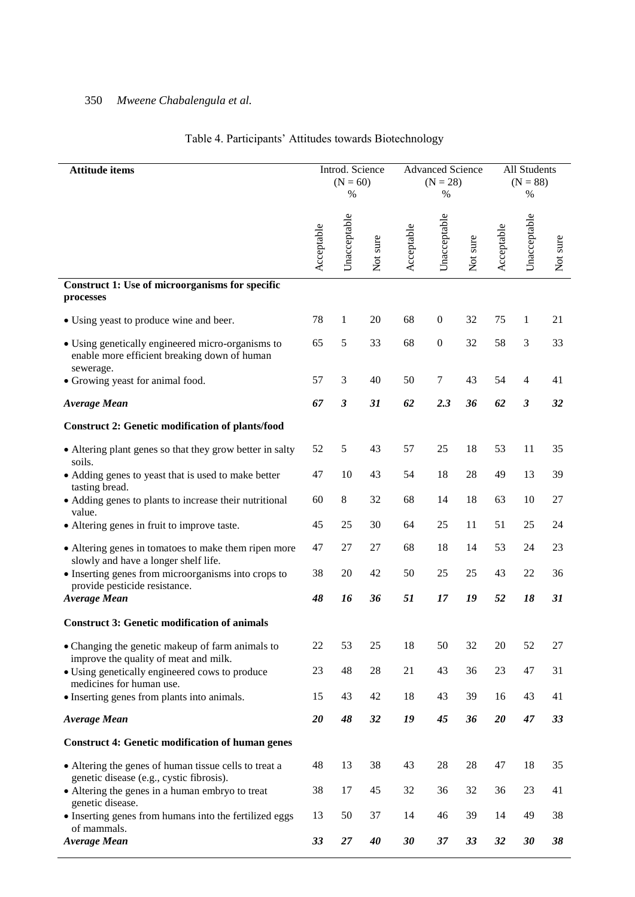| <b>Attitude items</b>                                                                                           |            | Introd. Science<br>$(N = 60)$<br>$\%$ |          | <b>Advanced Science</b><br>$(N = 28)$<br>$\%$ |                  |          | All Students<br>$(N = 88)$<br>$\%$ |                      |          |
|-----------------------------------------------------------------------------------------------------------------|------------|---------------------------------------|----------|-----------------------------------------------|------------------|----------|------------------------------------|----------------------|----------|
|                                                                                                                 | Acceptable | Unacceptable                          | Not sure | Acceptable                                    | Unacceptable     | Not sure | Acceptable                         | Unacceptable         | Not sure |
| Construct 1: Use of microorganisms for specific<br>processes                                                    |            |                                       |          |                                               |                  |          |                                    |                      |          |
| • Using yeast to produce wine and beer.                                                                         | 78         | 1                                     | 20       | 68                                            | $\boldsymbol{0}$ | 32       | 75                                 | 1                    | 21       |
| • Using genetically engineered micro-organisms to<br>enable more efficient breaking down of human<br>sewerage.  | 65         | 5                                     | 33       | 68                                            | $\boldsymbol{0}$ | 32       | 58                                 | 3                    | 33       |
| • Growing yeast for animal food.                                                                                | 57         | 3                                     | 40       | 50                                            | $\tau$           | 43       | 54                                 | $\overline{4}$       | 41       |
| <b>Average Mean</b>                                                                                             | 67         | $\boldsymbol{\beta}$                  | 31       | 62                                            | 2.3              | 36       | 62                                 | $\boldsymbol{\beta}$ | 32       |
| <b>Construct 2: Genetic modification of plants/food</b>                                                         |            |                                       |          |                                               |                  |          |                                    |                      |          |
| • Altering plant genes so that they grow better in salty                                                        | 52         | 5                                     | 43       | 57                                            | 25               | 18       | 53                                 | 11                   | 35       |
| soils.<br>• Adding genes to yeast that is used to make better                                                   | 47         | 10                                    | 43       | 54                                            | 18               | 28       | 49                                 | 13                   | 39       |
| tasting bread.<br>• Adding genes to plants to increase their nutritional<br>value.                              | 60         | 8                                     | 32       | 68                                            | 14               | 18       | 63                                 | 10                   | 27       |
| • Altering genes in fruit to improve taste.                                                                     | 45         | 25                                    | 30       | 64                                            | 25               | 11       | 51                                 | 25                   | 24       |
| • Altering genes in tomatoes to make them ripen more<br>slowly and have a longer shelf life.                    | 47         | 27                                    | 27       | 68                                            | 18               | 14       | 53                                 | 24                   | 23       |
| • Inserting genes from microorganisms into crops to<br>provide pesticide resistance.                            | 38         | 20                                    | 42       | 50                                            | 25               | 25       | 43                                 | 22                   | 36       |
| <b>Average Mean</b>                                                                                             | 48         | 16                                    | 36       | 51                                            | 17               | 19       | 52                                 | 18                   | 31       |
| <b>Construct 3: Genetic modification of animals</b>                                                             |            |                                       |          |                                               |                  |          |                                    |                      |          |
| • Changing the genetic makeup of farm animals to<br>improve the quality of meat and milk.                       | $22\,$     | 53                                    | 25       | 18                                            | 50               | 32       | 20                                 | 52                   | $27\,$   |
| • Using genetically engineered cows to produce<br>medicines for human use.                                      | 23         | 48                                    | 28       | 21                                            | 43               | 36       | 23                                 | 47                   | 31       |
| • Inserting genes from plants into animals.                                                                     | 15         | 43                                    | 42       | 18                                            | 43               | 39       | 16                                 | 43                   | 41       |
| <b>Average Mean</b>                                                                                             | 20         | 48                                    | 32       | 19                                            | 45               | 36       | 20                                 | 47                   | 33       |
| <b>Construct 4: Genetic modification of human genes</b>                                                         |            |                                       |          |                                               |                  |          |                                    |                      |          |
| • Altering the genes of human tissue cells to treat a                                                           | 48         | 13                                    | 38       | 43                                            | 28               | 28       | 47                                 | 18                   | 35       |
| genetic disease (e.g., cystic fibrosis).<br>• Altering the genes in a human embryo to treat<br>genetic disease. | 38         | 17                                    | 45       | 32                                            | 36               | 32       | 36                                 | 23                   | 41       |
| • Inserting genes from humans into the fertilized eggs<br>of mammals.                                           | 13         | 50                                    | 37       | 14                                            | 46               | 39       | 14                                 | 49                   | 38       |
| <b>Average Mean</b>                                                                                             | 33         | 27                                    | 40       | 30                                            | 37               | 33       | 32                                 | 30                   | 38       |

# Table 4. Participants" Attitudes towards Biotechnology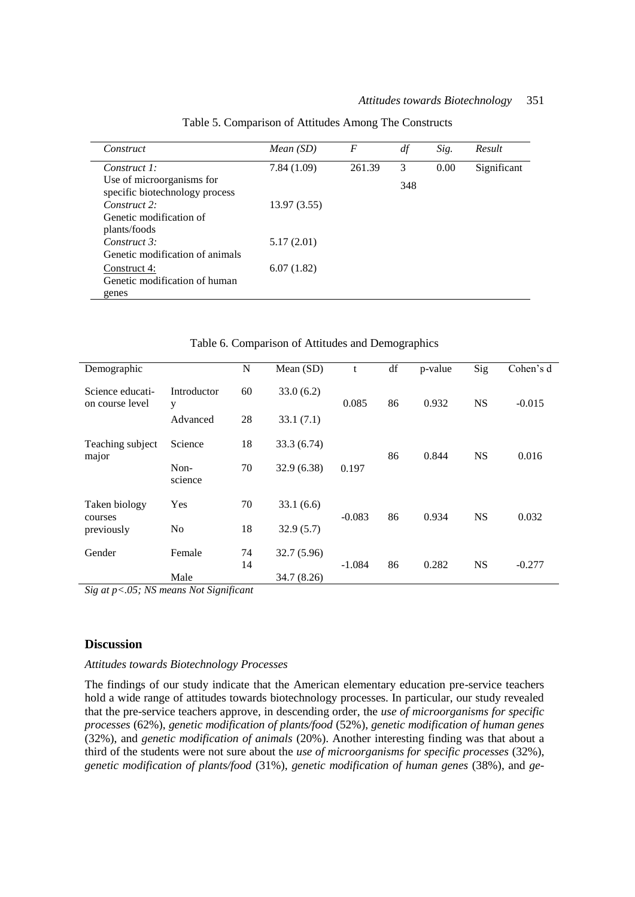| Construct                                                   | Mean(SD)    | F      | df  | Sig. | Result      |
|-------------------------------------------------------------|-------------|--------|-----|------|-------------|
| Construct 1:                                                | 7.84(1.09)  | 261.39 | 3   | 0.00 | Significant |
| Use of microorganisms for<br>specific biotechnology process |             |        | 348 |      |             |
| Construct 2:                                                | 13.97(3.55) |        |     |      |             |
| Genetic modification of<br>plants/foods                     |             |        |     |      |             |
| Construct 3:<br>Genetic modification of animals             | 5.17(2.01)  |        |     |      |             |
| Construct 4:<br>Genetic modification of human<br>genes      | 6.07(1.82)  |        |     |      |             |

Table 5. Comparison of Attitudes Among The Constructs

|                                        |                  |          | I avid 0. Comparison of Attitudes and Demographics |          |    |         |           |           |
|----------------------------------------|------------------|----------|----------------------------------------------------|----------|----|---------|-----------|-----------|
| Demographic                            |                  | N        | Mean (SD)                                          | t        | df | p-value | Sig       | Cohen's d |
| Science educati-<br>on course level    | Introductor<br>y | 60       | 33.0(6.2)                                          | 0.085    | 86 | 0.932   | <b>NS</b> | $-0.015$  |
|                                        | Advanced         | 28       | 33.1(7.1)                                          |          |    |         |           |           |
| Teaching subject<br>major              | Science          | 18       | 33.3 (6.74)                                        |          | 86 | 0.844   | <b>NS</b> | 0.016     |
|                                        | Non-<br>science  | 70       | 32.9(6.38)                                         | 0.197    |    |         |           |           |
| Taken biology<br>courses<br>previously | Yes              | 70       | 33.1(6.6)                                          | $-0.083$ | 86 | 0.934   | <b>NS</b> | 0.032     |
|                                        | No               | 18       | 32.9(5.7)                                          |          |    |         |           |           |
| Gender                                 | Female           | 74<br>14 | 32.7 (5.96)                                        | $-1.084$ | 86 | 0.282   | <b>NS</b> | $-0.277$  |
|                                        | Male             |          | 34.7 (8.26)                                        |          |    |         |           |           |

Table 6. Comparison of Attitudes and Demographics

*Sig at p<.05; NS means Not Significant*

### **Discussion**

### *Attitudes towards Biotechnology Processes*

The findings of our study indicate that the American elementary education pre-service teachers hold a wide range of attitudes towards biotechnology processes. In particular, our study revealed that the pre-service teachers approve, in descending order, the *use of microorganisms for specific processes* (62%), *genetic modification of plants/food* (52%), *genetic modification of human genes*  (32%), and *genetic modification of animals* (20%). Another interesting finding was that about a third of the students were not sure about the *use of microorganisms for specific processes* (32%), *genetic modification of plants/food* (31%), *genetic modification of human genes* (38%), and *ge-*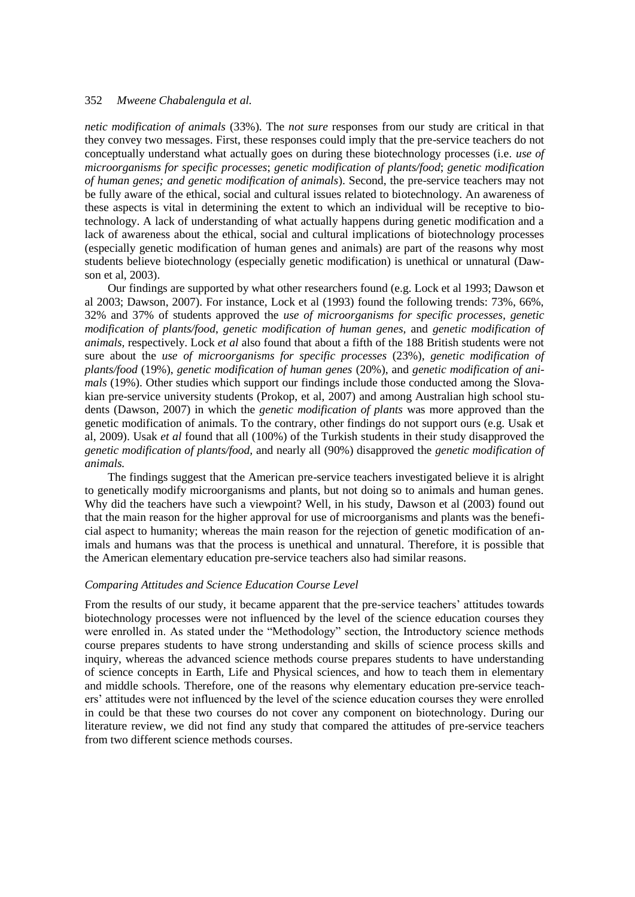*netic modification of animals* (33%). The *not sure* responses from our study are critical in that they convey two messages. First, these responses could imply that the pre-service teachers do not conceptually understand what actually goes on during these biotechnology processes (i.e. *use of microorganisms for specific processes*; *genetic modification of plants/food*; *genetic modification of human genes; and genetic modification of animals*). Second, the pre-service teachers may not be fully aware of the ethical, social and cultural issues related to biotechnology. An awareness of these aspects is vital in determining the extent to which an individual will be receptive to biotechnology. A lack of understanding of what actually happens during genetic modification and a lack of awareness about the ethical, social and cultural implications of biotechnology processes (especially genetic modification of human genes and animals) are part of the reasons why most students believe biotechnology (especially genetic modification) is unethical or unnatural (Dawson et al, 2003).

Our findings are supported by what other researchers found (e.g. Lock et al 1993; Dawson et al 2003; Dawson, 2007). For instance, Lock et al (1993) found the following trends: 73%, 66%, 32% and 37% of students approved the *use of microorganisms for specific processes, genetic modification of plants/food*, *genetic modification of human genes,* and *genetic modification of animals,* respectively. Lock *et al* also found that about a fifth of the 188 British students were not sure about the *use of microorganisms for specific processes* (23%), *genetic modification of plants/food* (19%), *genetic modification of human genes* (20%), and *genetic modification of animals* (19%). Other studies which support our findings include those conducted among the Slovakian pre-service university students (Prokop, et al, 2007) and among Australian high school students (Dawson, 2007) in which the *genetic modification of plants* was more approved than the genetic modification of animals. To the contrary, other findings do not support ours (e.g. Usak et al, 2009). Usak *et al* found that all (100%) of the Turkish students in their study disapproved the *genetic modification of plants/food,* and nearly all (90%) disapproved the *genetic modification of animals.* 

The findings suggest that the American pre-service teachers investigated believe it is alright to genetically modify microorganisms and plants, but not doing so to animals and human genes. Why did the teachers have such a viewpoint? Well, in his study, Dawson et al (2003) found out that the main reason for the higher approval for use of microorganisms and plants was the beneficial aspect to humanity; whereas the main reason for the rejection of genetic modification of animals and humans was that the process is unethical and unnatural. Therefore, it is possible that the American elementary education pre-service teachers also had similar reasons.

### *Comparing Attitudes and Science Education Course Level*

From the results of our study, it became apparent that the pre-service teachers' attitudes towards biotechnology processes were not influenced by the level of the science education courses they were enrolled in. As stated under the "Methodology" section, the Introductory science methods course prepares students to have strong understanding and skills of science process skills and inquiry, whereas the advanced science methods course prepares students to have understanding of science concepts in Earth, Life and Physical sciences, and how to teach them in elementary and middle schools. Therefore, one of the reasons why elementary education pre-service teachers" attitudes were not influenced by the level of the science education courses they were enrolled in could be that these two courses do not cover any component on biotechnology. During our literature review, we did not find any study that compared the attitudes of pre-service teachers from two different science methods courses.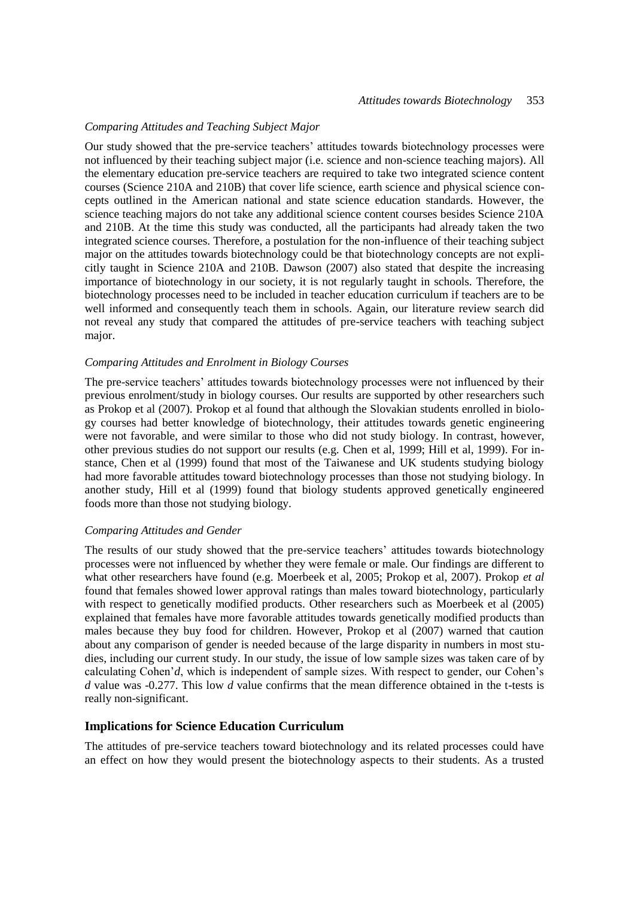# *Comparing Attitudes and Teaching Subject Major*

Our study showed that the pre-service teachers" attitudes towards biotechnology processes were not influenced by their teaching subject major (i.e. science and non-science teaching majors). All the elementary education pre-service teachers are required to take two integrated science content courses (Science 210A and 210B) that cover life science, earth science and physical science concepts outlined in the American national and state science education standards. However, the science teaching majors do not take any additional science content courses besides Science 210A and 210B. At the time this study was conducted, all the participants had already taken the two integrated science courses. Therefore, a postulation for the non-influence of their teaching subject major on the attitudes towards biotechnology could be that biotechnology concepts are not explicitly taught in Science 210A and 210B. Dawson (2007) also stated that despite the increasing importance of biotechnology in our society, it is not regularly taught in schools. Therefore, the biotechnology processes need to be included in teacher education curriculum if teachers are to be well informed and consequently teach them in schools. Again, our literature review search did not reveal any study that compared the attitudes of pre-service teachers with teaching subject major.

### *Comparing Attitudes and Enrolment in Biology Courses*

The pre-service teachers" attitudes towards biotechnology processes were not influenced by their previous enrolment/study in biology courses. Our results are supported by other researchers such as Prokop et al (2007). Prokop et al found that although the Slovakian students enrolled in biology courses had better knowledge of biotechnology, their attitudes towards genetic engineering were not favorable, and were similar to those who did not study biology. In contrast, however, other previous studies do not support our results (e.g. Chen et al, 1999; Hill et al, 1999). For instance, Chen et al (1999) found that most of the Taiwanese and UK students studying biology had more favorable attitudes toward biotechnology processes than those not studying biology. In another study, Hill et al (1999) found that biology students approved genetically engineered foods more than those not studying biology.

### *Comparing Attitudes and Gender*

The results of our study showed that the pre-service teachers' attitudes towards biotechnology processes were not influenced by whether they were female or male. Our findings are different to what other researchers have found (e.g. Moerbeek et al, 2005; Prokop et al, 2007). Prokop *et al* found that females showed lower approval ratings than males toward biotechnology, particularly with respect to genetically modified products. Other researchers such as Moerbeek et al (2005) explained that females have more favorable attitudes towards genetically modified products than males because they buy food for children. However, Prokop et al (2007) warned that caution about any comparison of gender is needed because of the large disparity in numbers in most studies, including our current study. In our study, the issue of low sample sizes was taken care of by calculating Cohen'd, which is independent of sample sizes. With respect to gender, our Cohen's *d* value was -0.277. This low *d* value confirms that the mean difference obtained in the t-tests is really non-significant.

# **Implications for Science Education Curriculum**

The attitudes of pre-service teachers toward biotechnology and its related processes could have an effect on how they would present the biotechnology aspects to their students. As a trusted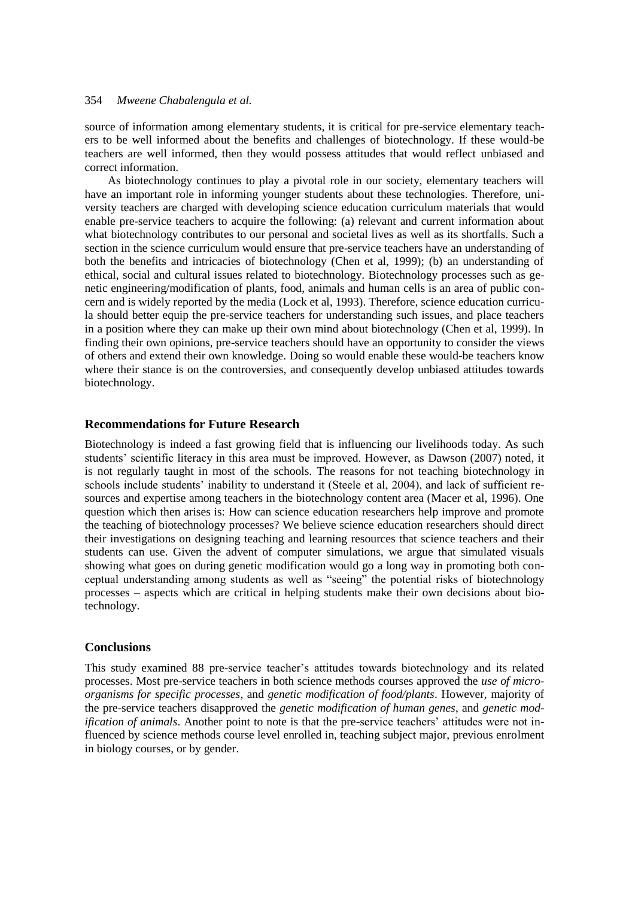source of information among elementary students, it is critical for pre-service elementary teachers to be well informed about the benefits and challenges of biotechnology. If these would-be teachers are well informed, then they would possess attitudes that would reflect unbiased and correct information.

As biotechnology continues to play a pivotal role in our society, elementary teachers will have an important role in informing younger students about these technologies. Therefore, university teachers are charged with developing science education curriculum materials that would enable pre-service teachers to acquire the following: (a) relevant and current information about what biotechnology contributes to our personal and societal lives as well as its shortfalls. Such a section in the science curriculum would ensure that pre-service teachers have an understanding of both the benefits and intricacies of biotechnology (Chen et al, 1999); (b) an understanding of ethical, social and cultural issues related to biotechnology. Biotechnology processes such as genetic engineering/modification of plants, food, animals and human cells is an area of public concern and is widely reported by the media (Lock et al, 1993). Therefore, science education curricula should better equip the pre-service teachers for understanding such issues, and place teachers in a position where they can make up their own mind about biotechnology (Chen et al, 1999). In finding their own opinions, pre-service teachers should have an opportunity to consider the views of others and extend their own knowledge. Doing so would enable these would-be teachers know where their stance is on the controversies, and consequently develop unbiased attitudes towards biotechnology.

### **Recommendations for Future Research**

Biotechnology is indeed a fast growing field that is influencing our livelihoods today. As such students' scientific literacy in this area must be improved. However, as Dawson (2007) noted, it is not regularly taught in most of the schools. The reasons for not teaching biotechnology in schools include students" inability to understand it (Steele et al, 2004), and lack of sufficient resources and expertise among teachers in the biotechnology content area (Macer et al, 1996). One question which then arises is: How can science education researchers help improve and promote the teaching of biotechnology processes? We believe science education researchers should direct their investigations on designing teaching and learning resources that science teachers and their students can use. Given the advent of computer simulations, we argue that simulated visuals showing what goes on during genetic modification would go a long way in promoting both conceptual understanding among students as well as "seeing" the potential risks of biotechnology processes – aspects which are critical in helping students make their own decisions about biotechnology.

### **Conclusions**

This study examined 88 pre-service teacher"s attitudes towards biotechnology and its related processes. Most pre-service teachers in both science methods courses approved the *use of microorganisms for specific processes*, and *genetic modification of food/plants*. However, majority of the pre-service teachers disapproved the *genetic modification of human genes*, and *genetic modification of animals*. Another point to note is that the pre-service teachers' attitudes were not influenced by science methods course level enrolled in, teaching subject major, previous enrolment in biology courses, or by gender.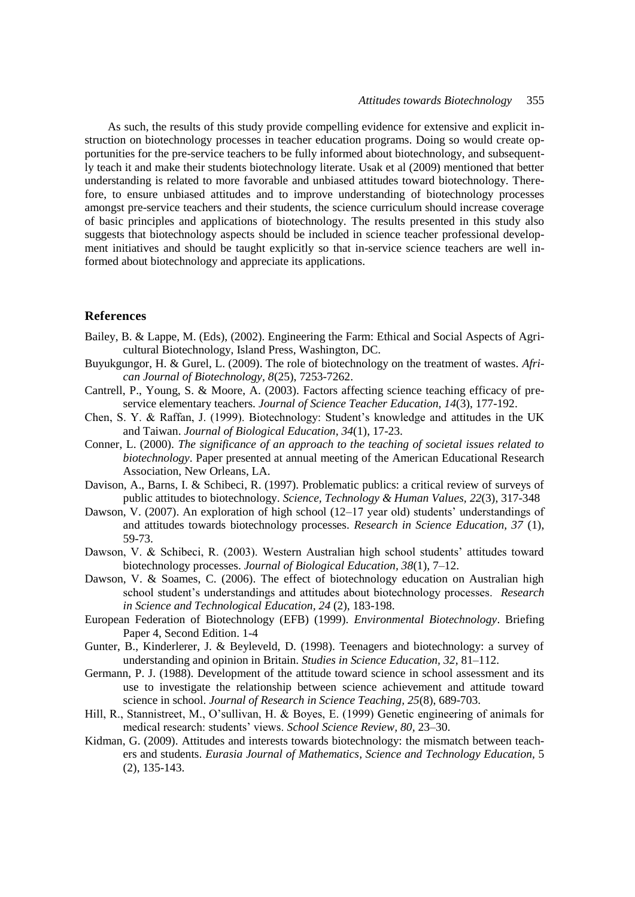As such, the results of this study provide compelling evidence for extensive and explicit instruction on biotechnology processes in teacher education programs. Doing so would create opportunities for the pre-service teachers to be fully informed about biotechnology, and subsequently teach it and make their students biotechnology literate. Usak et al (2009) mentioned that better understanding is related to more favorable and unbiased attitudes toward biotechnology. Therefore, to ensure unbiased attitudes and to improve understanding of biotechnology processes amongst pre-service teachers and their students, the science curriculum should increase coverage of basic principles and applications of biotechnology. The results presented in this study also suggests that biotechnology aspects should be included in science teacher professional development initiatives and should be taught explicitly so that in-service science teachers are well informed about biotechnology and appreciate its applications.

### **References**

- Bailey, B. & Lappe, M. (Eds), (2002). Engineering the Farm: Ethical and Social Aspects of Agricultural Biotechnology, Island Press, Washington, DC.
- Buyukgungor, H. & Gurel, L. (2009). The role of biotechnology on the treatment of wastes. *African Journal of Biotechnology, 8*(25), 7253-7262.
- Cantrell, P., Young, S. & Moore, A. (2003). Factors affecting science teaching efficacy of preservice elementary teachers. *Journal of Science Teacher Education, 14*(3), 177-192.
- Chen, S. Y. & Raffan, J. (1999). Biotechnology: Student"s knowledge and attitudes in the UK and Taiwan. *Journal of Biological Education, 34*(1), 17-23.
- Conner, L. (2000). *The significance of an approach to the teaching of societal issues related to biotechnology*. Paper presented at annual meeting of the American Educational Research Association, New Orleans, LA.
- Davison, A., Barns, I. & Schibeci, R. (1997). Problematic publics: a critical review of surveys of public attitudes to biotechnology. *Science, Technology & Human Values, 22*(3), 317-348
- Dawson, V. (2007). An exploration of high school (12–17 year old) students' understandings of and attitudes towards biotechnology processes. *Research in Science Education, 37* (1), 59-73.
- Dawson, V. & Schibeci, R. (2003). Western Australian high school students' attitudes toward biotechnology processes. *Journal of Biological Education, 38*(1), 7–12.
- Dawson, V. & Soames, C. (2006). The effect of biotechnology education on Australian high school student"s understandings and attitudes about biotechnology processes. *Research in Science and Technological Education, 24* (2), 183-198.
- European Federation of Biotechnology (EFB) (1999). *Environmental Biotechnology*. Briefing Paper 4, Second Edition. 1-4
- Gunter, B., Kinderlerer, J. & Beyleveld, D. (1998). Teenagers and biotechnology: a survey of understanding and opinion in Britain. *Studies in Science Education, 32*, 81–112.
- Germann, P. J. (1988). Development of the attitude toward science in school assessment and its use to investigate the relationship between science achievement and attitude toward science in school. *Journal of Research in Science Teaching, 25*(8), 689-703.
- Hill, R., Stannistreet, M., O"sullivan, H. & Boyes, E. (1999) Genetic engineering of animals for medical research: students" views. *School Science Review, 80,* 23–30.
- Kidman, G. (2009). Attitudes and interests towards biotechnology: the mismatch between teachers and students. *Eurasia Journal of Mathematics, Science and Technology Education,* 5 (2), 135-143.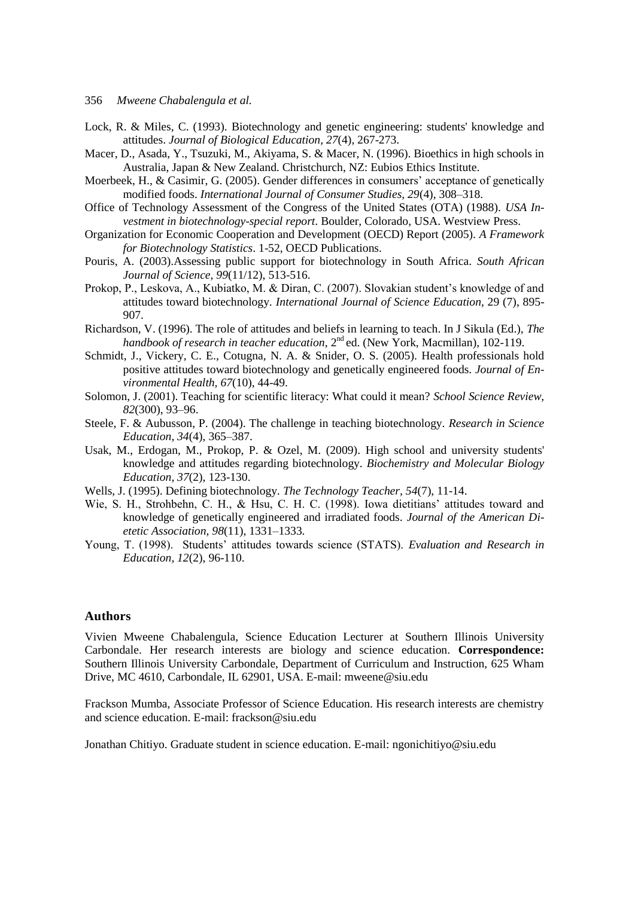- 356 *Mweene Chabalengula et al.*
- Lock, R. & Miles, C. (1993). Biotechnology and genetic engineering: students' knowledge and attitudes. *[Journal of Biological Education,](javascript:__doLinkPostBack() 27*(4), 267-273.
- Macer, D., Asada, Y., Tsuzuki, M., Akiyama, S. & Macer, N. (1996). Bioethics in high schools in Australia, Japan & New Zealand. Christchurch, NZ: Eubios Ethics Institute.
- Moerbeek, H., & Casimir, G. (2005). Gender differences in consumers' acceptance of genetically modified foods. *International Journal of Consumer Studies, 29*(4), 308–318.
- Office of Technology Assessment of the Congress of the United States (OTA) (1988). *USA Investment in biotechnology-special report*. Boulder, Colorado, USA. Westview Press.
- Organization for Economic Cooperation and Development (OECD) Report (2005). *A Framework for Biotechnology Statistics*. 1-52, OECD Publications.
- Pouris, A. (2003)[.Assessing public support for biotechnology in South Africa.](http://web.ebscohost.com/ehost/viewarticle?data=dGJyMPPp44rp2%2fdV0%2bnjisfk5Ie46bZRt6a2T66k63nn5Kx95uXxjL6prUqwpbBIr6eeSa6wrk24qLM4v8OkjPDX7Ivf2fKB7eTnfLuts06xrbRQsK2khN%2fk5VXj5KR84LPfiOac8nnls79mpNfsVa%2botUu2rbJRpNztiuvX8lXk6%2bqE8tv2jAAA&hid=13) *South African Journal of Science, 99*(11/12), 513-516.
- Prokop, P., Leskova, A., Kubiatko, M. & Diran, C. (2007). Slovakian student's knowledge of and attitudes toward biotechnology. *International Journal of Science Education,* 29 (7), 895- 907.
- Richardson, V. (1996). The role of attitudes and beliefs in learning to teach. In J Sikula (Ed.), *The handbook of research in teacher education*, 2<sup>nd</sup> ed. (New York, Macmillan), 102-119.
- Schmidt, J., Vickery, C. E., Cotugna, N. A. & Snider, O. S. (2005). [Health professionals hold](http://web.ebscohost.com/ehost/viewarticle?data=dGJyMPPp44rp2%2fdV0%2bnjisfk5Ie46bZRt6a2T66k63nn5Kx95uXxjL6prUqwpbBIr6eeSbCwr0q4p7E4zsOkjPDX7Ivf2fKB7eTnfLuork%2bwr7NKsKauPurX7H%2b72%2bw%2b4ti7ee7epIzf3btZzJzfhruntUm1qbJKr5zkh%2fDj34y73POE6urjkPIA&hid=8)  positive attitudes toward biotechnology [and genetically engineered foods.](http://web.ebscohost.com/ehost/viewarticle?data=dGJyMPPp44rp2%2fdV0%2bnjisfk5Ie46bZRt6a2T66k63nn5Kx95uXxjL6prUqwpbBIr6eeSbCwr0q4p7E4zsOkjPDX7Ivf2fKB7eTnfLuork%2bwr7NKsKauPurX7H%2b72%2bw%2b4ti7ee7epIzf3btZzJzfhruntUm1qbJKr5zkh%2fDj34y73POE6urjkPIA&hid=8) *Journal of Environmental Health, 67*(10), 44-49.
- Solomon, J. (2001). Teaching for scientific literacy: What could it mean? *School Science Review, 82*(300), 93–96.
- Steele, F. & Aubusson, P. (2004). The challenge in teaching biotechnology. *Research in Science Education, 34*(4), 365–387.
- Usak, M., Erdogan, M., Prokop, P. & Ozel, M. (2009). High school and university students' knowledge and attitudes regarding biotechnology. *[Biochemistry and Molecular Biology](http://www3.interscience.wiley.com/journal/112782101/home)  [Education,](http://www3.interscience.wiley.com/journal/112782101/home) 37*(2), 123-130.
- Wells, J. (1995). Defining biotechnology. *The Technology Teacher, 54*(7), 11-14.
- Wie, S. H., Strohbehn, C. H., & Hsu, C. H. C. (1998). Iowa dietitians" attitudes toward and knowledge of genetically engineered and irradiated foods. *Journal of the American Dietetic Association, 98*(11), 1331–1333.
- Young, T. (1998). Students" attitudes towards science (STATS). *Evaluation and Research in Education, 12*(2), 96-110.

### **Authors**

Vivien Mweene Chabalengula, Science Education Lecturer at Southern Illinois University Carbondale. Her research interests are biology and science education. **Correspondence:**  Southern Illinois University Carbondale, Department of Curriculum and Instruction, 625 Wham Drive, MC 4610, Carbondale, IL 62901, USA. E-mail: mweene@siu.edu

Frackson Mumba, Associate Professor of Science Education. His research interests are chemistry and science education. E-mail: frackson@siu.edu

Jonathan Chitiyo. Graduate student in science education. E-mail: ngonichitiyo@siu.edu